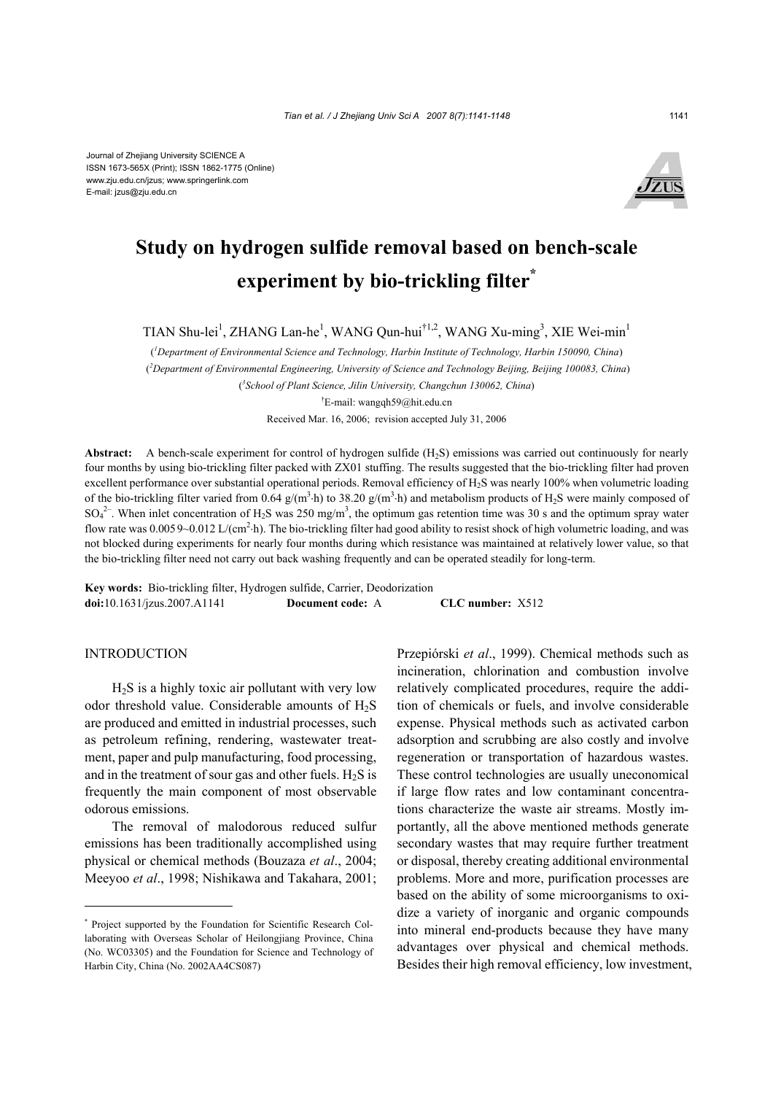

# **Study on hydrogen sulfide removal based on bench-scale experiment by bio-trickling filter\***

TIAN Shu-lei<sup>1</sup>, ZHANG Lan-he<sup>1</sup>, WANG Qun-hui<sup>†1,2</sup>, WANG Xu-ming<sup>3</sup>, XIE Wei-min<sup>1</sup>

( *1 Department of Environmental Science and Technology, Harbin Institute of Technology, Harbin 150090, China*) (*2 Department of Environmental Engineering, University of Science and Technology Beijing, Beijing 100083, China*) ( *3 School of Plant Science, Jilin University, Changchun 130062, China*) † E-mail: wangqh59@hit.edu.cn

Received Mar. 16, 2006; revision accepted July 31, 2006

**Abstract:** A bench-scale experiment for control of hydrogen sulfide (H2S) emissions was carried out continuously for nearly four months by using bio-trickling filter packed with ZX01 stuffing. The results suggested that the bio-trickling filter had proven excellent performance over substantial operational periods. Removal efficiency of H<sub>2</sub>S was nearly 100% when volumetric loading of the bio-trickling filter varied from 0.64  $g/(m^3 \cdot h)$  to 38.20  $g/(m^3 \cdot h)$  and metabolism products of H<sub>2</sub>S were mainly composed of  $SO_4^{2-}$ . When inlet concentration of H<sub>2</sub>S was 250 mg/m<sup>3</sup>, the optimum gas retention time was 30 s and the optimum spray water flow rate was  $0.0059~0.012$  L/(cm<sup>2</sup>·h). The bio-trickling filter had good ability to resist shock of high volumetric loading, and was not blocked during experiments for nearly four months during which resistance was maintained at relatively lower value, so that the bio-trickling filter need not carry out back washing frequently and can be operated steadily for long-term.

**Key words:** Bio-trickling filter, Hydrogen sulfide, Carrier, Deodorization **doi:**10.1631/jzus.2007.A1141 **Document code:** A **CLC number:** X512

## INTRODUCTION

 $H<sub>2</sub>S$  is a highly toxic air pollutant with very low odor threshold value. Considerable amounts of  $H_2S$ are produced and emitted in industrial processes, such as petroleum refining, rendering, wastewater treatment, paper and pulp manufacturing, food processing, and in the treatment of sour gas and other fuels.  $H_2S$  is frequently the main component of most observable odorous emissions.

The removal of malodorous reduced sulfur emissions has been traditionally accomplished using physical or chemical methods (Bouzaza *et al*., 2004; Meeyoo *et al*., 1998; Nishikawa and Takahara, 2001;

Przepiórski *et al*., 1999). Chemical methods such as incineration, chlorination and combustion involve relatively complicated procedures, require the addition of chemicals or fuels, and involve considerable expense. Physical methods such as activated carbon adsorption and scrubbing are also costly and involve regeneration or transportation of hazardous wastes. These control technologies are usually uneconomical if large flow rates and low contaminant concentrations characterize the waste air streams. Mostly importantly, all the above mentioned methods generate secondary wastes that may require further treatment or disposal, thereby creating additional environmental problems. More and more, purification processes are based on the ability of some microorganisms to oxidize a variety of inorganic and organic compounds into mineral end-products because they have many advantages over physical and chemical methods. Besides their high removal efficiency, low investment,

<sup>\*</sup> Project supported by the Foundation for Scientific Research Collaborating with Overseas Scholar of Heilongjiang Province, China (No. WC03305) and the Foundation for Science and Technology of Harbin City, China (No. 2002AA4CS087)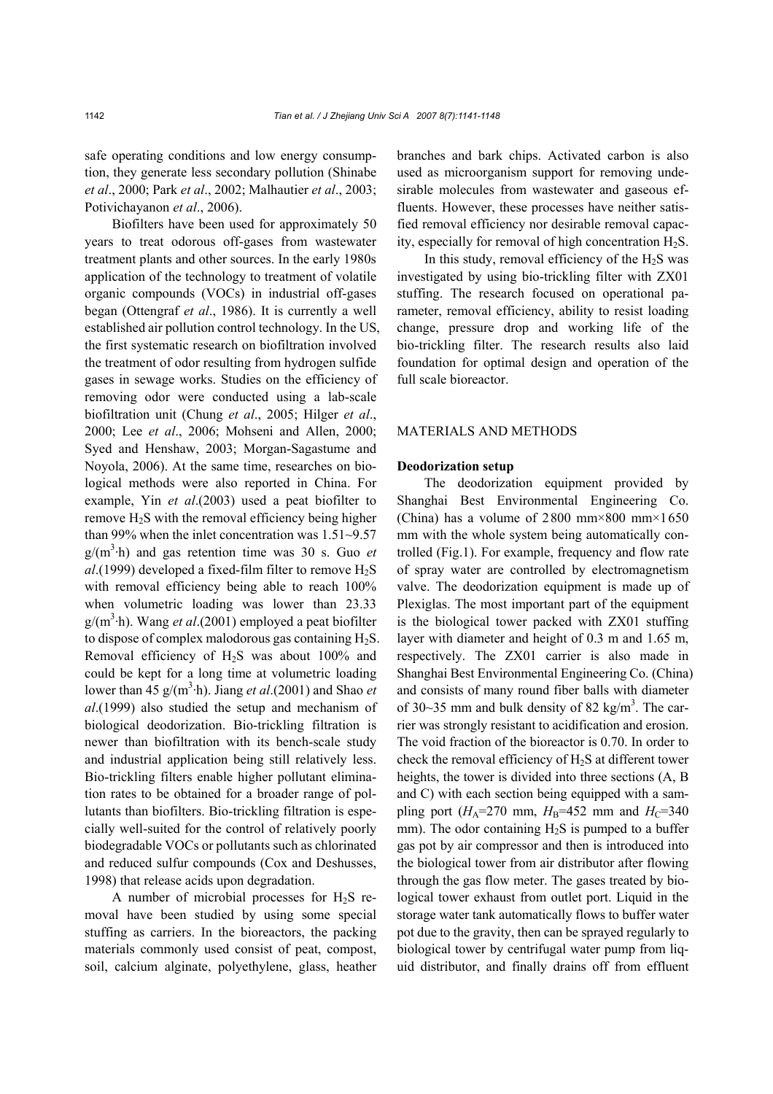safe operating conditions and low energy consumption, they generate less secondary pollution (Shinabe *et al*., 2000; Park *et al*., 2002; Malhautier *et al*., 2003; Potivichayanon *et al*., 2006).

Biofilters have been used for approximately 50 years to treat odorous off-gases from wastewater treatment plants and other sources. In the early 1980s application of the technology to treatment of volatile organic compounds (VOCs) in industrial off-gases began (Ottengraf *et al*., 1986). It is currently a well established air pollution control technology. In the US, the first systematic research on biofiltration involved the treatment of odor resulting from hydrogen sulfide gases in sewage works. Studies on the efficiency of removing odor were conducted using a lab-scale biofiltration unit (Chung *et al*., 2005; Hilger *et al*., 2000; Lee *et al*., 2006; Mohseni and Allen, 2000; Syed and Henshaw, 2003; Morgan-Sagastume and Noyola, 2006). At the same time, researches on biological methods were also reported in China. For example, Yin *et al*.(2003) used a peat biofilter to remove  $H_2S$  with the removal efficiency being higher than 99% when the inlet concentration was 1.51~9.57  $g/(m^3 \cdot h)$  and gas retention time was 30 s. Guo *et*  $al.$ (1999) developed a fixed-film filter to remove  $H_2S$ with removal efficiency being able to reach  $100\%$ when volumetric loading was lower than 23.33 g/(m<sup>3</sup>·h). Wang et al.(2001) employed a peat biofilter to dispose of complex malodorous gas containing  $H_2S$ . Removal efficiency of  $H_2S$  was about 100% and could be kept for a long time at volumetric loading lower than 45  $g/(m^3 \cdot h)$ . Jiang *et al.*(2001) and Shao *et al*.(1999) also studied the setup and mechanism of biological deodorization. Bio-trickling filtration is newer than biofiltration with its bench-scale study and industrial application being still relatively less. Bio-trickling filters enable higher pollutant elimination rates to be obtained for a broader range of pollutants than biofilters. Bio-trickling filtration is especially well-suited for the control of relatively poorly biodegradable VOCs or pollutants such as chlorinated and reduced sulfur compounds (Cox and Deshusses, 1998) that release acids upon degradation.

A number of microbial processes for  $H_2S$  removal have been studied by using some special stuffing as carriers. In the bioreactors, the packing materials commonly used consist of peat, compost, soil, calcium alginate, polyethylene, glass, heather

branches and bark chips. Activated carbon is also used as microorganism support for removing undesirable molecules from wastewater and gaseous effluents. However, these processes have neither satisfied removal efficiency nor desirable removal capacity, especially for removal of high concentration  $H_2S$ .

In this study, removal efficiency of the  $H_2S$  was investigated by using bio-trickling filter with ZX01 stuffing. The research focused on operational parameter, removal efficiency, ability to resist loading change, pressure drop and working life of the bio-trickling filter. The research results also laid foundation for optimal design and operation of the full scale bioreactor.

## MATERIALS AND METHODS

### **Deodorization setup**

The deodorization equipment provided by Shanghai Best Environmental Engineering Co. (China) has a volume of  $2800$  mm×800 mm×1650 mm with the whole system being automatically controlled (Fig.1). For example, frequency and flow rate of spray water are controlled by electromagnetism valve. The deodorization equipment is made up of Plexiglas. The most important part of the equipment is the biological tower packed with ZX01 stuffing layer with diameter and height of 0.3 m and 1.65 m, respectively. The ZX01 carrier is also made in Shanghai Best Environmental Engineering Co. (China) and consists of many round fiber balls with diameter of 30~35 mm and bulk density of 82 kg/m<sup>3</sup>. The carrier was strongly resistant to acidification and erosion. The void fraction of the bioreactor is 0.70. In order to check the removal efficiency of H2S at different tower heights, the tower is divided into three sections (A, B and C) with each section being equipped with a sampling port ( $H_A$ =270 mm,  $H_B$ =452 mm and  $H_C$ =340 mm). The odor containing  $H_2S$  is pumped to a buffer gas pot by air compressor and then is introduced into the biological tower from air distributor after flowing through the gas flow meter. The gases treated by biological tower exhaust from outlet port. Liquid in the storage water tank automatically flows to buffer water pot due to the gravity, then can be sprayed regularly to biological tower by centrifugal water pump from liquid distributor, and finally drains off from effluent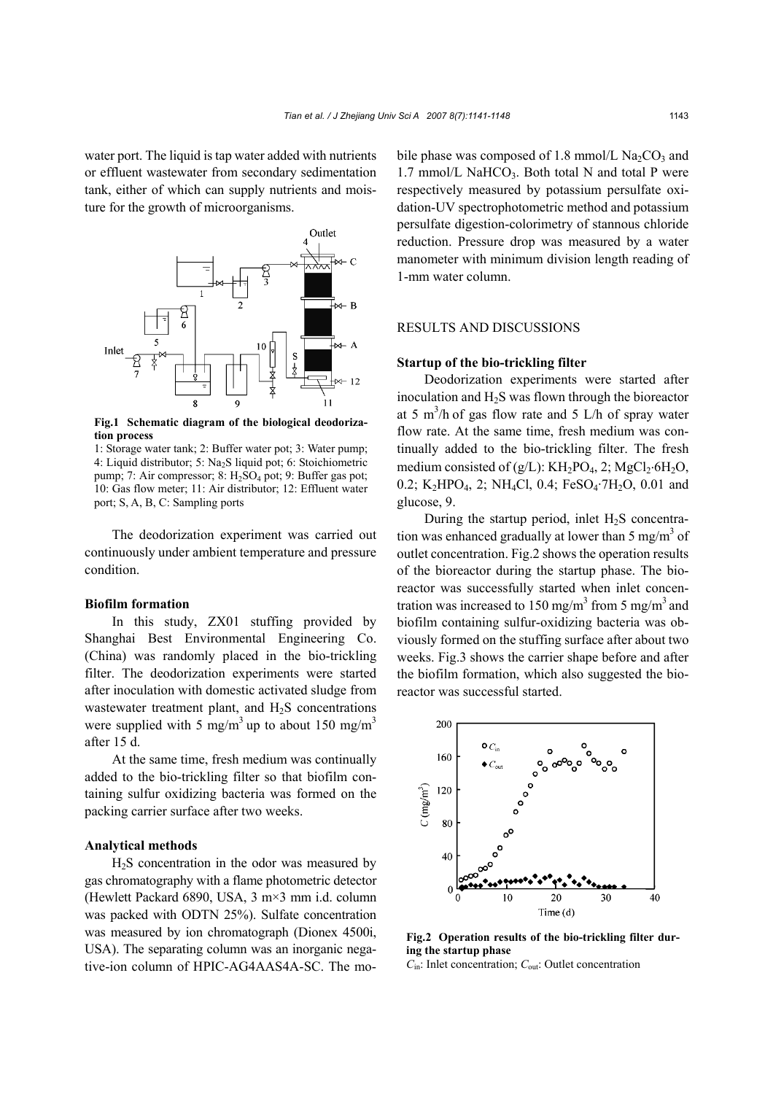water port. The liquid is tap water added with nutrients or effluent wastewater from secondary sedimentation tank, either of which can supply nutrients and moisture for the growth of microorganisms.



**Fig.1 Schematic diagram of the biological deodorization process** 

1: Storage water tank; 2: Buffer water pot; 3: Water pump; 4: Liquid distributor; 5: Na2S liquid pot; 6: Stoichiometric pump; 7: Air compressor; 8:  $H_2SO_4$  pot; 9: Buffer gas pot; 10: Gas flow meter; 11: Air distributor; 12: Effluent water port; S, A, B, C: Sampling ports

The deodorization experiment was carried out continuously under ambient temperature and pressure condition.

## **Biofilm formation**

In this study, ZX01 stuffing provided by Shanghai Best Environmental Engineering Co. (China) was randomly placed in the bio-trickling filter. The deodorization experiments were started after inoculation with domestic activated sludge from wastewater treatment plant, and  $H_2S$  concentrations were supplied with 5 mg/m<sup>3</sup> up to about 150 mg/m<sup>3</sup> after 15 d.

At the same time, fresh medium was continually added to the bio-trickling filter so that biofilm containing sulfur oxidizing bacteria was formed on the packing carrier surface after two weeks.

# **Analytical methods**

 $H<sub>2</sub>S$  concentration in the odor was measured by gas chromatography with a flame photometric detector (Hewlett Packard 6890, USA, 3 m×3 mm i.d. column was packed with ODTN 25%). Sulfate concentration was measured by ion chromatograph (Dionex 4500i, USA). The separating column was an inorganic negative-ion column of HPIC-AG4AAS4A-SC. The mobile phase was composed of 1.8 mmol/L  $Na<sub>2</sub>CO<sub>3</sub>$  and 1.7 mmol/L NaHCO<sub>3</sub>. Both total N and total P were respectively measured by potassium persulfate oxidation-UV spectrophotometric method and potassium persulfate digestion-colorimetry of stannous chloride reduction. Pressure drop was measured by a water manometer with minimum division length reading of 1-mm water column.

## RESULTS AND DISCUSSIONS

## **Startup of the bio-trickling filter**

Deodorization experiments were started after inoculation and H2S was flown through the bioreactor at 5 m<sup>3</sup>/h of gas flow rate and 5 L/h of spray water flow rate. At the same time, fresh medium was continually added to the bio-trickling filter. The fresh medium consisted of  $(g/L)$ : KH<sub>2</sub>PO<sub>4</sub>, 2; MgCl<sub>2</sub>⋅6H<sub>2</sub>O, 0.2; K<sub>2</sub>HPO<sub>4</sub>, 2; NH<sub>4</sub>Cl, 0.4; FeSO<sub>4</sub>·7H<sub>2</sub>O, 0.01 and glucose, 9.

During the startup period, inlet  $H_2S$  concentration was enhanced gradually at lower than 5 mg/m<sup>3</sup> of outlet concentration. Fig.2 shows the operation results of the bioreactor during the startup phase. The bioreactor was successfully started when inlet concentration was increased to 150 mg/m<sup>3</sup> from 5 mg/m<sup>3</sup> and biofilm containing sulfur-oxidizing bacteria was obviously formed on the stuffing surface after about two weeks. Fig.3 shows the carrier shape before and after the biofilm formation, which also suggested the bioreactor was successful started.



**Fig.2 Operation results of the bio-trickling filter during the startup phase** 

*C*in: Inlet concentration; *C*out: Outlet concentration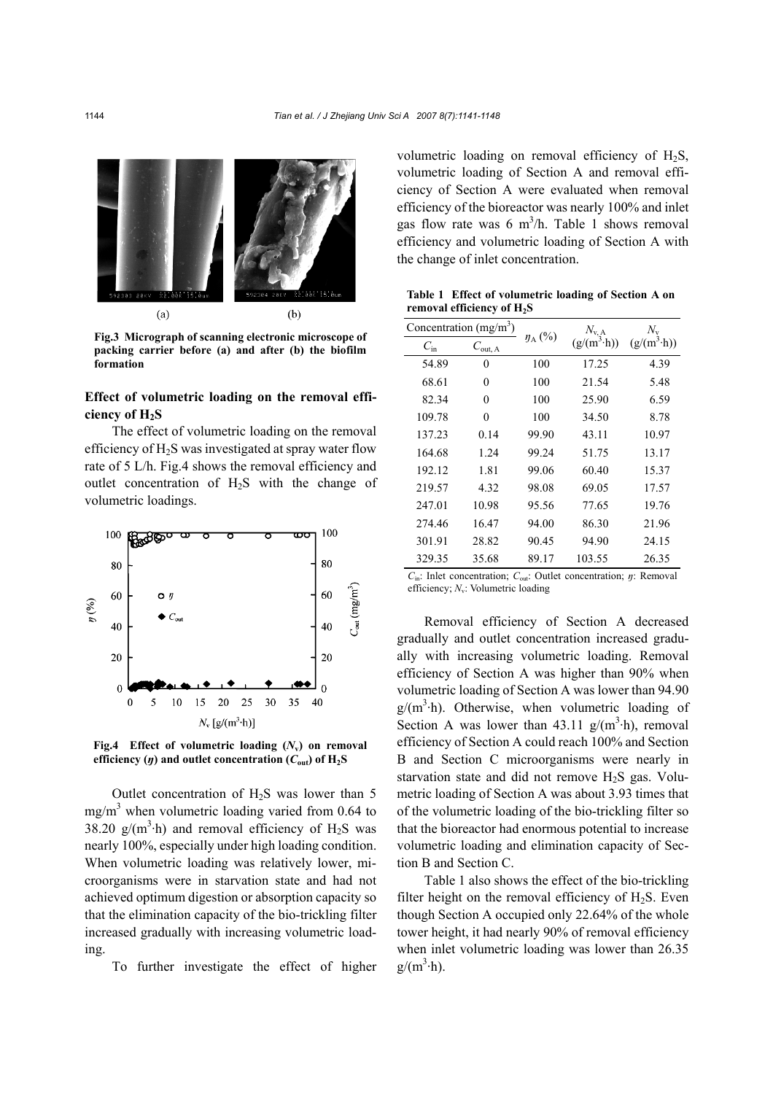

**Fig.3 Micrograph of scanning electronic microscope of packing carrier before (a) and after (b) the biofilm formation**

# **Effect of volumetric loading on the removal efficiency of H2S**

The effect of volumetric loading on the removal efficiency of  $H_2S$  was investigated at spray water flow rate of 5 L/h. Fig.4 shows the removal efficiency and outlet concentration of  $H_2S$  with the change of volumetric loadings.



**Fig.4 Effect of volumetric loading (***N***v) on removal efficiency** (*y*) and outlet concentration ( $C_{\text{out}}$ ) of  $H_2S$ 

Outlet concentration of  $H_2S$  was lower than 5  $mg/m<sup>3</sup>$  when volumetric loading varied from 0.64 to 38.20  $g/(m^3 \cdot h)$  and removal efficiency of H<sub>2</sub>S was nearly 100%, especially under high loading condition. When volumetric loading was relatively lower, microorganisms were in starvation state and had not achieved optimum digestion or absorption capacity so that the elimination capacity of the bio-trickling filter increased gradually with increasing volumetric loading.

To further investigate the effect of higher

volumetric loading on removal efficiency of H2S, volumetric loading of Section A and removal efficiency of Section A were evaluated when removal efficiency of the bioreactor was nearly 100% and inlet gas flow rate was  $6 \text{ m}^3$ /h. Table 1 shows removal efficiency and volumetric loading of Section A with the change of inlet concentration.

**Table 1 Effect of volumetric loading of Section A on removal efficiency of H2S** 

|              | Concentration $(mg/m3)$ |              | $\frac{N_{v, A}}{(g/(m^3 \cdot h))}$ | $(g/(m^3 \cdot h))$ |  |
|--------------|-------------------------|--------------|--------------------------------------|---------------------|--|
| $C_{\rm in}$ | $C_{\text{out, A}}$     | $\eta_A$ (%) |                                      |                     |  |
| 54.89        | $\overline{0}$          | 100          | 17.25                                | 4.39                |  |
| 68.61        | 0                       | 100          | 21.54                                | 5.48                |  |
| 82.34        | $\theta$                | 100          | 25.90                                | 6.59                |  |
| 109.78       | $\theta$                | 100          | 34.50                                | 8.78                |  |
| 137.23       | 0.14                    | 99.90        | 43.11                                | 10.97               |  |
| 164.68       | 1.24                    | 99.24        | 51.75                                | 13.17               |  |
| 192.12       | 1.81                    | 99.06        | 60.40                                | 15.37               |  |
| 219.57       | 4.32                    | 98.08        | 69.05                                | 17.57               |  |
| 247.01       | 10.98                   | 95.56        | 77.65                                | 19.76               |  |
| 274.46       | 16.47                   | 94.00        | 86.30                                | 21.96               |  |
| 301.91       | 28.82                   | 90.45        | 94.90                                | 24.15               |  |
| 329.35       | 35.68                   | 89.17        | 103.55                               | 26.35               |  |

*C*in: Inlet concentration; *C*out: Outlet concentration; *ŋ*: Removal efficiency: *N<sub>v</sub>*: Volumetric loading

Removal efficiency of Section A decreased gradually and outlet concentration increased gradually with increasing volumetric loading. Removal efficiency of Section A was higher than 90% when volumetric loading of Section A was lower than 94.90  $g/(m^3 \cdot h)$ . Otherwise, when volumetric loading of Section A was lower than  $43.11 \text{ g/(m}^3 \cdot \text{h)}$ , removal efficiency of Section A could reach 100% and Section B and Section C microorganisms were nearly in starvation state and did not remove  $H<sub>2</sub>S$  gas. Volumetric loading of Section A was about 3.93 times that of the volumetric loading of the bio-trickling filter so that the bioreactor had enormous potential to increase volumetric loading and elimination capacity of Section B and Section C.

Table 1 also shows the effect of the bio-trickling filter height on the removal efficiency of  $H_2S$ . Even though Section A occupied only 22.64% of the whole tower height, it had nearly 90% of removal efficiency when inlet volumetric loading was lower than 26.35  $g/(m^3 \cdot h)$ .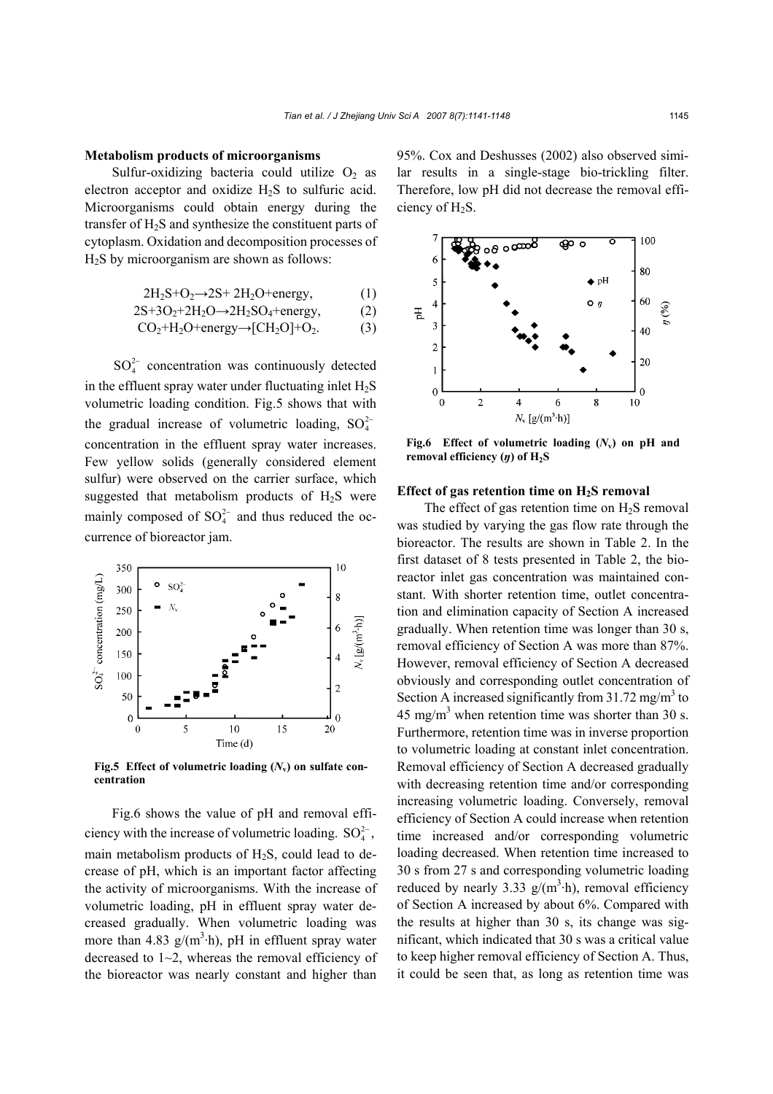#### **Metabolism products of microorganisms**

Sulfur-oxidizing bacteria could utilize  $O_2$  as electron acceptor and oxidize  $H_2S$  to sulfuric acid. Microorganisms could obtain energy during the transfer of H<sub>2</sub>S and synthesize the constituent parts of cytoplasm. Oxidation and decomposition processes of  $H<sub>2</sub>S$  by microorganism are shown as follows:

$$
2H_2S+O_2 \rightarrow 2S+ 2H_2O + energy,
$$
 (1)

$$
2S+3O_2+2H_2O \rightarrow 2H_2SO_4 + energy,
$$
 (2)

$$
CO2+H2O+energy \rightarrow [CH2O]+O2.
$$
 (3)

 $SO_4^{2-}$  concentration was continuously detected in the effluent spray water under fluctuating inlet  $H<sub>2</sub>S$ volumetric loading condition. Fig.5 shows that with the gradual increase of volumetric loading,  $SO_4^{2-}$ concentration in the effluent spray water increases. Few yellow solids (generally considered element sulfur) were observed on the carrier surface, which suggested that metabolism products of  $H_2S$  were mainly composed of  $SO_4^{2-}$  and thus reduced the occurrence of bioreactor jam.



**Fig.5** Effect of volumetric loading  $(N_v)$  on sulfate con**centration**

Fig.6 shows the value of pH and removal efficiency with the increase of volumetric loading.  $SO_4^2$ , main metabolism products of  $H_2S$ , could lead to decrease of pH, which is an important factor affecting the activity of microorganisms. With the increase of volumetric loading, pH in effluent spray water decreased gradually. When volumetric loading was more than 4.83  $g/(m^3 \cdot h)$ , pH in effluent spray water decreased to  $1~2$ , whereas the removal efficiency of the bioreactor was nearly constant and higher than

95%. Cox and Deshusses (2002) also observed similar results in a single-stage bio-trickling filter. Therefore, low pH did not decrease the removal efficiency of H<sub>2</sub>S.



**Fig.6 Effect of volumetric loading (***N***v) on pH and removal efficiency (***y***) of H<sub>2</sub>S** 

### **Effect of gas retention time on H2S removal**

The effect of gas retention time on  $H_2S$  removal was studied by varying the gas flow rate through the bioreactor. The results are shown in Table 2. In the first dataset of 8 tests presented in Table 2, the bioreactor inlet gas concentration was maintained constant. With shorter retention time, outlet concentration and elimination capacity of Section A increased gradually. When retention time was longer than 30 s, removal efficiency of Section A was more than 87%. However, removal efficiency of Section A decreased obviously and corresponding outlet concentration of Section A increased significantly from  $31.72$  mg/m<sup>3</sup> to 45 mg/m<sup>3</sup> when retention time was shorter than 30 s. Furthermore, retention time was in inverse proportion to volumetric loading at constant inlet concentration. Removal efficiency of Section A decreased gradually with decreasing retention time and/or corresponding increasing volumetric loading. Conversely, removal efficiency of Section A could increase when retention time increased and/or corresponding volumetric loading decreased. When retention time increased to 30 s from 27 s and corresponding volumetric loading reduced by nearly 3.33  $g/(m^3 \cdot h)$ , removal efficiency of Section A increased by about 6%. Compared with the results at higher than 30 s, its change was significant, which indicated that 30 s was a critical value to keep higher removal efficiency of Section A. Thus, it could be seen that, as long as retention time was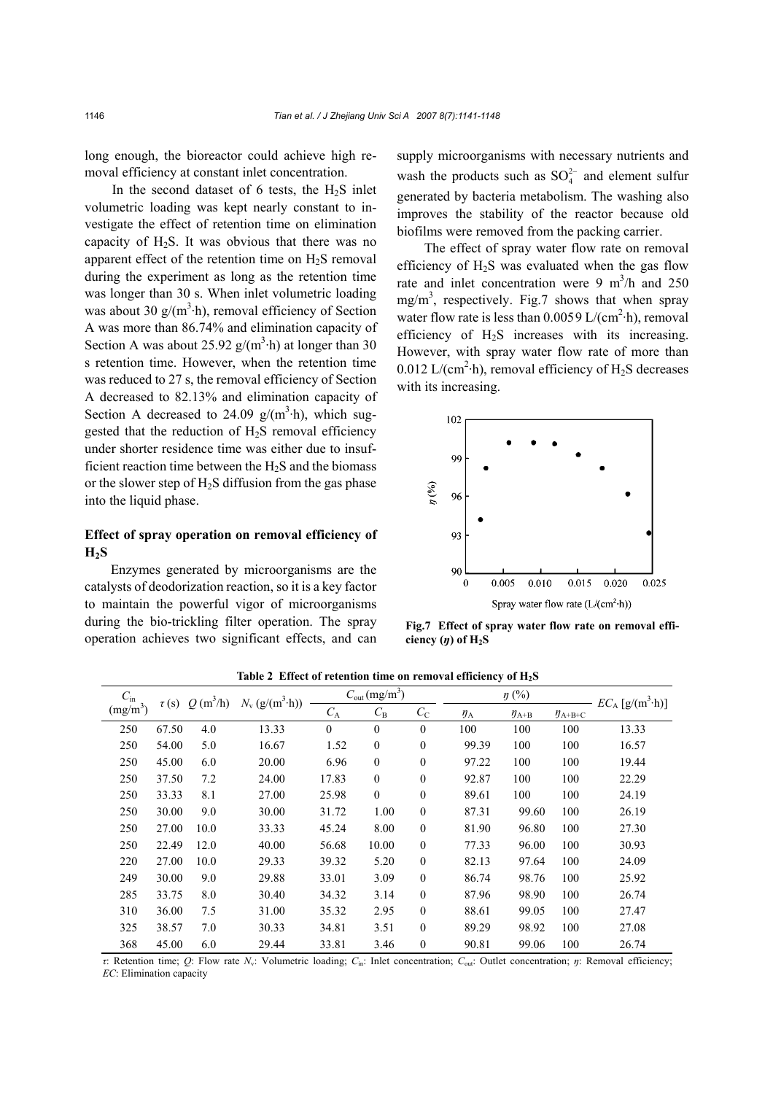long enough, the bioreactor could achieve high removal efficiency at constant inlet concentration.

In the second dataset of 6 tests, the  $H_2S$  inlet volumetric loading was kept nearly constant to investigate the effect of retention time on elimination capacity of  $H_2S$ . It was obvious that there was no apparent effect of the retention time on  $H_2S$  removal during the experiment as long as the retention time was longer than 30 s. When inlet volumetric loading was about 30  $g/(m^3 \cdot h)$ , removal efficiency of Section A was more than 86.74% and elimination capacity of Section A was about 25.92  $g/(m^3 \cdot h)$  at longer than 30 s retention time. However, when the retention time was reduced to 27 s, the removal efficiency of Section A decreased to 82.13% and elimination capacity of Section A decreased to 24.09  $g/(m^3 \cdot h)$ , which suggested that the reduction of  $H_2S$  removal efficiency under shorter residence time was either due to insufficient reaction time between the  $H<sub>2</sub>S$  and the biomass or the slower step of  $H_2S$  diffusion from the gas phase into the liquid phase.

# **Effect of spray operation on removal efficiency of**   $H<sub>2</sub>S$

Enzymes generated by microorganisms are the catalysts of deodorization reaction, so it is a key factor to maintain the powerful vigor of microorganisms during the bio-trickling filter operation. The spray operation achieves two significant effects, and can supply microorganisms with necessary nutrients and wash the products such as  $SO_4^{2-}$  and element sulfur generated by bacteria metabolism. The washing also improves the stability of the reactor because old biofilms were removed from the packing carrier.

The effect of spray water flow rate on removal efficiency of  $H<sub>2</sub>S$  was evaluated when the gas flow rate and inlet concentration were  $9 \text{ m}^3/\text{h}$  and  $250 \text{ m}$  $mg/m<sup>3</sup>$ , respectively. Fig.7 shows that when spray water flow rate is less than  $0.0059 \text{ L/(cm}^2 \cdot \text{h)}$ , removal efficiency of  $H_2S$  increases with its increasing. However, with spray water flow rate of more than 0.012 L/(cm<sup>2</sup>·h), removal efficiency of  $H_2S$  decreases with its increasing.



**Fig.7 Effect of spray water flow rate on removal efficiency**  $(\eta)$  of  $H_2S$ 

| $C_{\rm in}$<br>$\tau(s)$ |             | $Q(m^3/h)$ | $N_{\rm v}$ (g/(m <sup>3</sup> ·h)) | $C_{\text{out}}$ (mg/m <sup>3</sup> ) |              | $\eta$ (%)       |           |             | $EC_A$ [g/(m <sup>3</sup> ·h)] |       |
|---------------------------|-------------|------------|-------------------------------------|---------------------------------------|--------------|------------------|-----------|-------------|--------------------------------|-------|
| (mg/m <sup>3</sup> )      | $C_{\rm A}$ |            |                                     | $C_{\rm B}$                           | $C_{\rm C}$  | $y_{\rm A}$      | $y_{A+B}$ | $y_{A+B+C}$ |                                |       |
| 250                       | 67.50       | 4.0        | 13.33                               | $\mathbf{0}$                          | $\mathbf{0}$ | $\theta$         | 100       | 100         | 100                            | 13.33 |
| 250                       | 54.00       | 5.0        | 16.67                               | 1.52                                  | $\theta$     | $\mathbf{0}$     | 99.39     | 100         | 100                            | 16.57 |
| 250                       | 45.00       | 6.0        | 20.00                               | 6.96                                  | $\theta$     | $\boldsymbol{0}$ | 97.22     | 100         | 100                            | 19.44 |
| 250                       | 37.50       | 7.2        | 24.00                               | 17.83                                 | $\theta$     | $\theta$         | 92.87     | 100         | 100                            | 22.29 |
| 250                       | 33.33       | 8.1        | 27.00                               | 25.98                                 | $\mathbf{0}$ | $\mathbf{0}$     | 89.61     | 100         | 100                            | 24.19 |
| 250                       | 30.00       | 9.0        | 30.00                               | 31.72                                 | 1.00         | $\mathbf{0}$     | 87.31     | 99.60       | 100                            | 26.19 |
| 250                       | 27.00       | 10.0       | 33.33                               | 45.24                                 | 8.00         | $\mathbf{0}$     | 81.90     | 96.80       | 100                            | 27.30 |
| 250                       | 22.49       | 12.0       | 40.00                               | 56.68                                 | 10.00        | $\mathbf{0}$     | 77.33     | 96.00       | 100                            | 30.93 |
| 220                       | 27.00       | 10.0       | 29.33                               | 39.32                                 | 5.20         | $\mathbf{0}$     | 82.13     | 97.64       | 100                            | 24.09 |
| 249                       | 30.00       | 9.0        | 29.88                               | 33.01                                 | 3.09         | $\mathbf{0}$     | 86.74     | 98.76       | 100                            | 25.92 |
| 285                       | 33.75       | 8.0        | 30.40                               | 34.32                                 | 3.14         | $\mathbf{0}$     | 87.96     | 98.90       | 100                            | 26.74 |
| 310                       | 36.00       | 7.5        | 31.00                               | 35.32                                 | 2.95         | $\mathbf{0}$     | 88.61     | 99.05       | 100                            | 27.47 |
| 325                       | 38.57       | 7.0        | 30.33                               | 34.81                                 | 3.51         | $\mathbf{0}$     | 89.29     | 98.92       | 100                            | 27.08 |
| 368                       | 45.00       | 6.0        | 29.44                               | 33.81                                 | 3.46         | $\theta$         | 90.81     | 99.06       | 100                            | 26.74 |

Table 2 Effect of retention time on removal efficiency of H<sub>2</sub>S

*τ*: Retention time; *Q*: Flow rate *N*v: Volumetric loading; *C*in: Inlet concentration; *C*out: Outlet concentration; *ŋ*: Removal efficiency; *EC*: Elimination capacity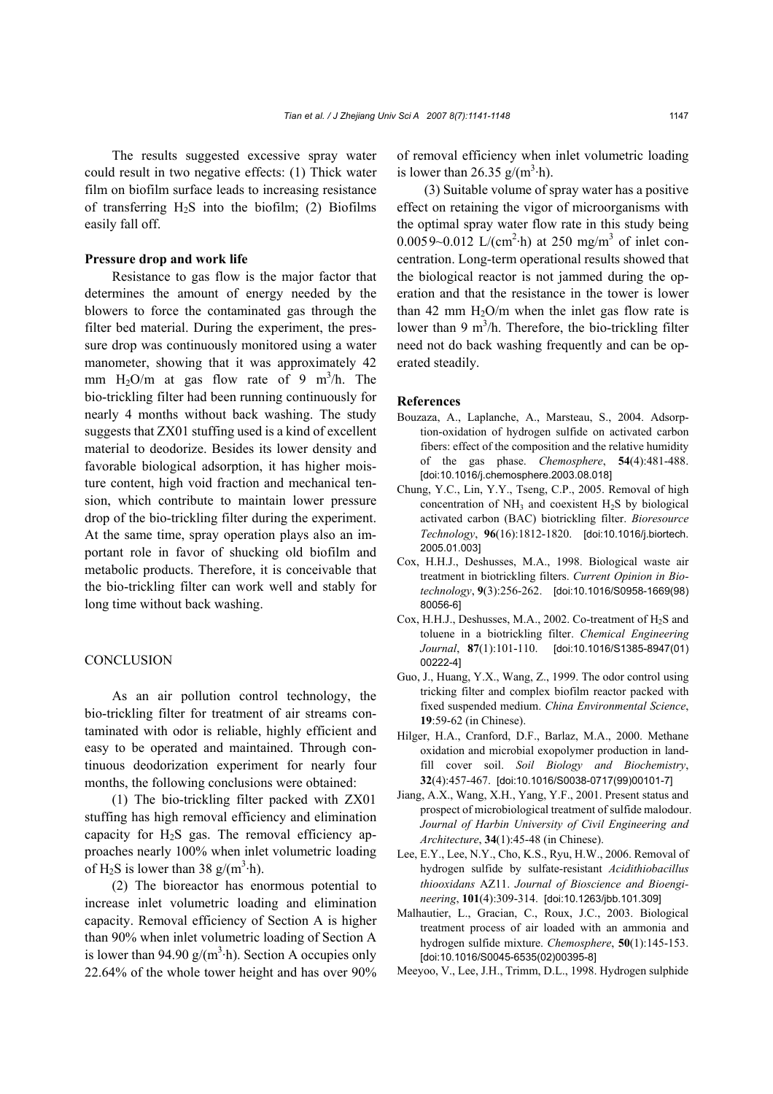The results suggested excessive spray water could result in two negative effects: (1) Thick water film on biofilm surface leads to increasing resistance of transferring  $H_2S$  into the biofilm; (2) Biofilms easily fall off.

### **Pressure drop and work life**

Resistance to gas flow is the major factor that determines the amount of energy needed by the blowers to force the contaminated gas through the filter bed material. During the experiment, the pressure drop was continuously monitored using a water manometer, showing that it was approximately 42 mm  $H_2O/m$  at gas flow rate of 9 m<sup>3</sup>/h. The bio-trickling filter had been running continuously for nearly 4 months without back washing. The study suggests that ZX01 stuffing used is a kind of excellent material to deodorize. Besides its lower density and favorable biological adsorption, it has higher moisture content, high void fraction and mechanical tension, which contribute to maintain lower pressure drop of the bio-trickling filter during the experiment. At the same time, spray operation plays also an important role in favor of shucking old biofilm and metabolic products. Therefore, it is conceivable that the bio-trickling filter can work well and stably for long time without back washing.

# **CONCLUSION**

As an air pollution control technology, the bio-trickling filter for treatment of air streams contaminated with odor is reliable, highly efficient and easy to be operated and maintained. Through continuous deodorization experiment for nearly four months, the following conclusions were obtained:

(1) The bio-trickling filter packed with ZX01 stuffing has high removal efficiency and elimination capacity for  $H_2S$  gas. The removal efficiency approaches nearly 100% when inlet volumetric loading of H<sub>2</sub>S is lower than 38  $g/(m^3 \cdot h)$ .

(2) The bioreactor has enormous potential to increase inlet volumetric loading and elimination capacity. Removal efficiency of Section A is higher than 90% when inlet volumetric loading of Section A is lower than 94.90  $g/(m^3 \cdot h)$ . Section A occupies only 22.64% of the whole tower height and has over 90%

of removal efficiency when inlet volumetric loading is lower than 26.35  $g/(m^3 \cdot h)$ .

(3) Suitable volume of spray water has a positive effect on retaining the vigor of microorganisms with the optimal spray water flow rate in this study being 0.0059~0.012 L/(cm<sup>2</sup>·h) at 250 mg/m<sup>3</sup> of inlet concentration. Long-term operational results showed that the biological reactor is not jammed during the operation and that the resistance in the tower is lower than 42 mm  $H_2O/m$  when the inlet gas flow rate is lower than 9  $m^3/h$ . Therefore, the bio-trickling filter need not do back washing frequently and can be operated steadily.

#### **References**

- Bouzaza, A., Laplanche, A., Marsteau, S., 2004. Adsorption-oxidation of hydrogen sulfide on activated carbon fibers: effect of the composition and the relative humidity of the gas phase. *Chemosphere*, **54**(4):481-488. [doi:10.1016/j.chemosphere.2003.08.018]
- Chung, Y.C., Lin, Y.Y., Tseng, C.P., 2005. Removal of high concentration of  $NH_3$  and coexistent  $H_2S$  by biological activated carbon (BAC) biotrickling filter. *Bioresource Technology*, **96**(16):1812-1820. [doi:10.1016/j.biortech. 2005.01.003]
- Cox, H.H.J., Deshusses, M.A., 1998. Biological waste air treatment in biotrickling filters. *Current Opinion in Biotechnology*, **9**(3):256-262. [doi:10.1016/S0958-1669(98) 80056-6]
- Cox, H.H.J., Deshusses, M.A., 2002. Co-treatment of  $H_2S$  and toluene in a biotrickling filter. *Chemical Engineering Journal*, **87**(1):101-110. [doi:10.1016/S1385-8947(01) 00222-4]
- Guo, J., Huang, Y.X., Wang, Z., 1999. The odor control using tricking filter and complex biofilm reactor packed with fixed suspended medium. *China Environmental Science*, **19**:59-62 (in Chinese).
- Hilger, H.A., Cranford, D.F., Barlaz, M.A., 2000. Methane oxidation and microbial exopolymer production in landfill cover soil. *Soil Biology and Biochemistry*, **32**(4):457-467. [doi:10.1016/S0038-0717(99)00101-7]
- Jiang, A.X., Wang, X.H., Yang, Y.F., 2001. Present status and prospect of microbiological treatment of sulfide malodour. *Journal of Harbin University of Civil Engineering and Architecture*, **34**(1):45-48 (in Chinese).
- Lee, E.Y., Lee, N.Y., Cho, K.S., Ryu, H.W., 2006. Removal of hydrogen sulfide by sulfate-resistant *Acidithiobacillus thiooxidans* AZ11. *Journal of Bioscience and Bioengineering*, **101**(4):309-314. [doi:10.1263/jbb.101.309]
- Malhautier, L., Gracian, C., Roux, J.C., 2003. Biological treatment process of air loaded with an ammonia and hydrogen sulfide mixture. *Chemosphere*, **50**(1):145-153. [doi:10.1016/S0045-6535(02)00395-8]
- Meeyoo, V., Lee, J.H., Trimm, D.L., 1998. Hydrogen sulphide